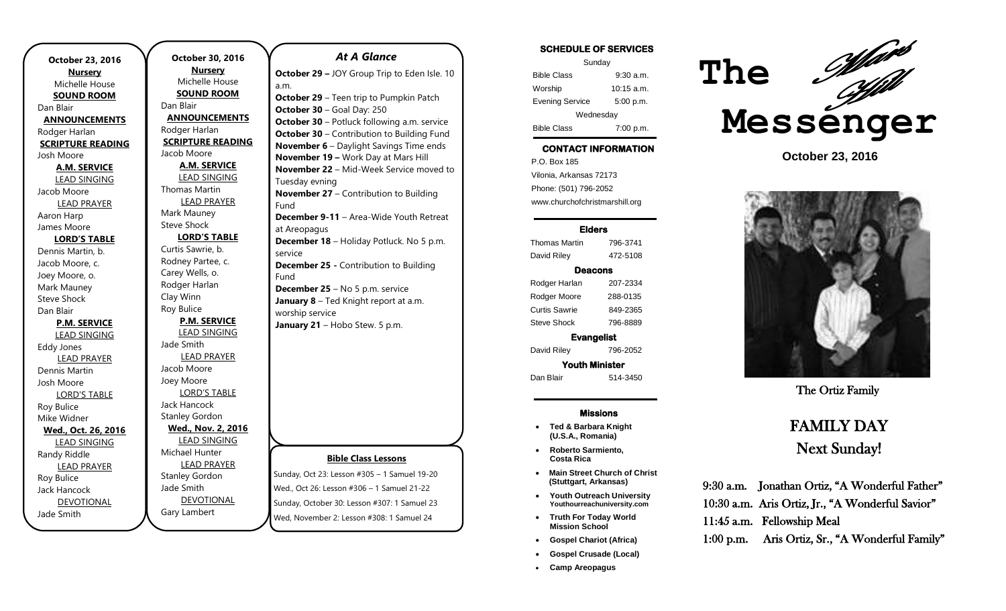| October 23, 2016         | October 30, 201        |
|--------------------------|------------------------|
| <b>Nursery</b>           | <b>Nursery</b>         |
| Michelle House           | Michelle House         |
| <b>SOUND ROOM</b>        | <b>SOUND ROOM</b>      |
| Dan Blair                | Dan Blair              |
| <b>ANNOUNCEMENTS</b>     | <b>ANNOUNCEMEN</b>     |
| Rodger Harlan            | Rodger Harlan          |
| <b>SCRIPTURE READING</b> | <b>SCRIPTURE READI</b> |
| Josh Moore               | Jacob Moore            |
| <b>A.M. SERVICE</b>      | <b>A.M. SERVICE</b>    |
| <b>LEAD SINGING</b>      | <b>LEAD SINGING</b>    |
| Jacob Moore              | Thomas Martin          |
| LEAD PRAYER              | <b>LEAD PRAYER</b>     |
| Aaron Harp               | Mark Mauney            |
| James Moore              | <b>Steve Shock</b>     |
| <b>LORD'S TABLE</b>      | <b>LORD'S TABLE</b>    |
| Dennis Martin, b.        | Curtis Sawrie, b.      |
| Jacob Moore, c.          | Rodney Partee, c.      |
| Joey Moore, o.           | Carey Wells, o.        |
| Mark Mauney              | Rodger Harlan          |
| <b>Steve Shock</b>       | Clay Winn              |
| Dan Blair                | Roy Bulice             |
| <b>P.M. SERVICE</b>      | <b>P.M. SERVICE</b>    |
| <b>LEAD SINGING</b>      | <b>LEAD SINGING</b>    |
| Eddy Jones               | Jade Smith             |
| <b>LEAD PRAYER</b>       | <b>LEAD PRAYER</b>     |
| Dennis Martin            | Jacob Moore            |
| Josh Moore               | Joey Moore             |
| <b>LORD'S TABLE</b>      | <b>LORD'S TABLE</b>    |
| Roy Bulice               | <b>Jack Hancock</b>    |
| Mike Widner              | <b>Stanley Gordon</b>  |
| Wed., Oct. 26, 2016      | Wed., Nov. 2, 201      |
| <b>LEAD SINGING</b>      | <b>LEAD SINGING</b>    |
| Randy Riddle             | Michael Hunter         |
| <b>LEAD PRAYER</b>       | <b>LEAD PRAYER</b>     |
| Roy Bulice               | <b>Stanley Gordon</b>  |
| <b>Jack Hancock</b>      | Jade Smith             |
| <b>DEVOTIONAL</b>        | <b>DEVOTIONAL</b>      |
| Jade Smith               | Gary Lambert           |
|                          |                        |

## **O16** Jse <u>M</u> **ENTS SDING**  $\overline{G}$ **LORD'S TABLE**  $\sqrt{C}$ **2016**  $\overline{d}$ **Bible Class Lessons** Sunday, Oct 23: Lesson #305 – 1 Samuel 19-20 Wed., Oct 26: Lesson #306 – 1 Samuel 21-22 Sunday, October 30: Lesson #307: 1 Samuel 23 *At A Glance*  **October 29 –** JOY Group Trip to Eden Isle. 10 a.m. **October 29** – Teen trip to Pumpkin Patch **October 30** – Goal Day: 250 **October 30** – Potluck following a.m. service **October 30 – Contribution to Building Fund November 6** – Daylight Savings Time ends **November 19 –** Work Day at Mars Hill **November 22** – Mid-Week Service moved to Tuesday evning **November 27** – Contribution to Building Fund **December 9-11** – Area-Wide Youth Retreat at Areopagus **December 18** – Holiday Potluck. No 5 p.m. service **December 25 -** Contribution to Building Fund **December 25** – No 5 p.m. service **January 8** – Ted Knight report at a.m. worship service January 21 - Hobo Stew. 5 p.m.

Wed, November 2: Lesson #308: 1 Samuel 24

# **SCHEDULE OF SERVICES**

| Sunday                 |              |  |
|------------------------|--------------|--|
| <b>Bible Class</b>     | 9.30 a.m.    |  |
| Worship                | $10:15$ a.m. |  |
| <b>Evening Service</b> | 5:00 p.m.    |  |
| Wednesday              |              |  |
| <b>Bible Class</b>     | 7:00 p.m.    |  |

# **CONTACT INFORMATION**

. .o. Bex ree<br>Vilonia, Arkansas 72173 P.O. Box 185 Phone: (501) 796-2052 www.churchofchristmarshill.org

### **Elders**

Thomas Martin 796-3741 David Riley 472-5108 **Deacons** 

Rodger Harlan 207-2334 Rodger Moore 288-0135 Curtis Sawrie 849-2365 Steve Shock 796-8889

**Evangelist**  David Riley 796-2052 **Youth Minister** 

Dan Blair 514-3450

### **Missions**

- **Ted & Barbara Knight (U.S.A., Romania)**
- **Roberto Sarmiento, Costa Rica**
- **Main Street Church of Christ (Stuttgart, Arkansas)**
- **Youth Outreach University Youthourreachuniversity.com**
- **Truth For Today World Mission School**
- **Gospel Chariot (Africa)**
- **Gospel Crusade (Local)**
- **Camp Areopagus**



**October 23, 2016**



The Ortiz Family

# FAMILY DAY Next Sunday!

9:30 a.m. Jonathan Ortiz, "A Wonderful Father" 10:30 a.m. Aris Ortiz, Jr., "A Wonderful Savior" 11:45 a.m. Fellowship Meal 1:00 p.m. Aris Ortiz, Sr., "A Wonderful Family"